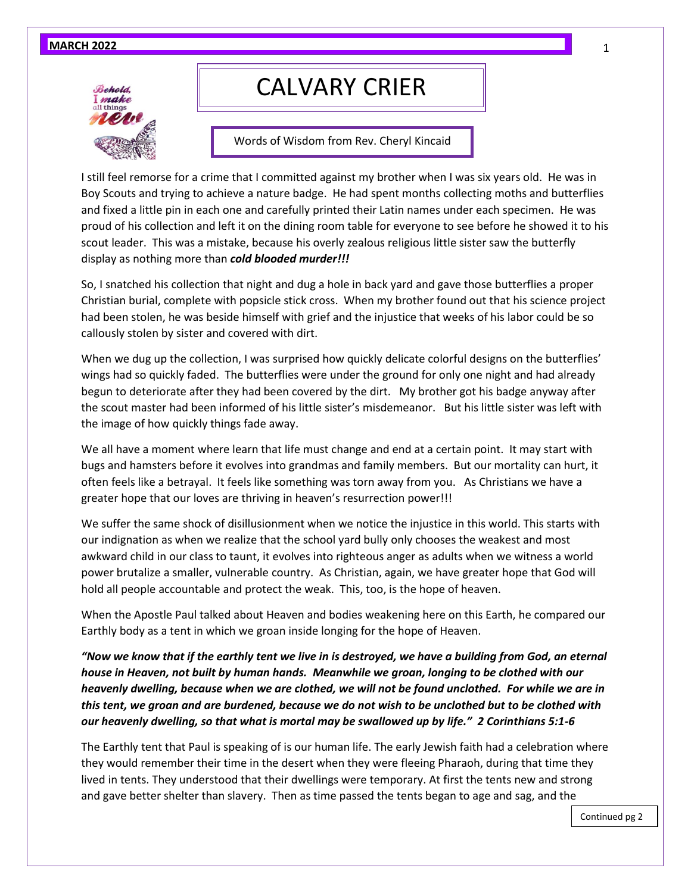#### **MARCH 2022**



# CALVARY CRIER

Words of Wisdom from Rev. Cheryl Kincaid

I still feel remorse for a crime that I committed against my brother when I was six years old. He was in Boy Scouts and trying to achieve a nature badge. He had spent months collecting moths and butterflies and fixed a little pin in each one and carefully printed their Latin names under each specimen. He was proud of his collection and left it on the dining room table for everyone to see before he showed it to his scout leader. This was a mistake, because his overly zealous religious little sister saw the butterfly display as nothing more than *cold blooded murder!!!*

So, I snatched his collection that night and dug a hole in back yard and gave those butterflies a proper Christian burial, complete with popsicle stick cross. When my brother found out that his science project had been stolen, he was beside himself with grief and the injustice that weeks of his labor could be so callously stolen by sister and covered with dirt.

When we dug up the collection, I was surprised how quickly delicate colorful designs on the butterflies' wings had so quickly faded. The butterflies were under the ground for only one night and had already begun to deteriorate after they had been covered by the dirt. My brother got his badge anyway after the scout master had been informed of his little sister's misdemeanor. But his little sister was left with the image of how quickly things fade away.

We all have a moment where learn that life must change and end at a certain point. It may start with bugs and hamsters before it evolves into grandmas and family members. But our mortality can hurt, it often feels like a betrayal. It feels like something was torn away from you. As Christians we have a greater hope that our loves are thriving in heaven's resurrection power!!!

We suffer the same shock of disillusionment when we notice the injustice in this world. This starts with our indignation as when we realize that the school yard bully only chooses the weakest and most awkward child in our class to taunt, it evolves into righteous anger as adults when we witness a world power brutalize a smaller, vulnerable country. As Christian, again, we have greater hope that God will hold all people accountable and protect the weak. This, too, is the hope of heaven.

When the Apostle Paul talked about Heaven and bodies weakening here on this Earth, he compared our Earthly body as a tent in which we groan inside longing for the hope of Heaven.

*"Now we know that if the earthly tent we live in is destroyed, we have a building from God, an eternal house in Heaven, not built by human hands. Meanwhile we groan, longing to be clothed with our heavenly dwelling, because when we are clothed, we will not be found unclothed. For while we are in this tent, we groan and are burdened, because we do not wish to be unclothed but to be clothed with our heavenly dwelling, so that what is mortal may be swallowed up by life." 2 Corinthians 5:1-6*

The Earthly tent that Paul is speaking of is our human life. The early Jewish faith had a celebration where they would remember their time in the desert when they were fleeing Pharaoh, during that time they lived in tents. They understood that their dwellings were temporary. At first the tents new and strong and gave better shelter than slavery. Then as time passed the tents began to age and sag, and the

1

Continued pg 2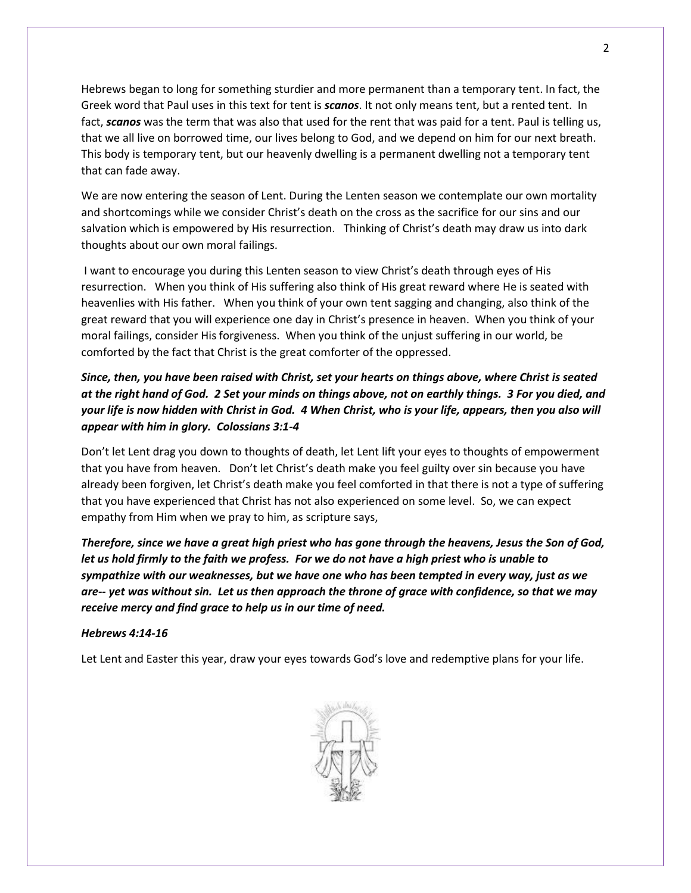Hebrews began to long for something sturdier and more permanent than a temporary tent. In fact, the Greek word that Paul uses in this text for tent is *scanos*. It not only means tent, but a rented tent. In fact, *scanos* was the term that was also that used for the rent that was paid for a tent. Paul is telling us, that we all live on borrowed time, our lives belong to God, and we depend on him for our next breath. This body is temporary tent, but our heavenly dwelling is a permanent dwelling not a temporary tent that can fade away.

We are now entering the season of Lent. During the Lenten season we contemplate our own mortality and shortcomings while we consider Christ's death on the cross as the sacrifice for our sins and our salvation which is empowered by His resurrection. Thinking of Christ's death may draw us into dark thoughts about our own moral failings.

I want to encourage you during this Lenten season to view Christ's death through eyes of His resurrection. When you think of His suffering also think of His great reward where He is seated with heavenlies with His father. When you think of your own tent sagging and changing, also think of the great reward that you will experience one day in Christ's presence in heaven. When you think of your moral failings, consider His forgiveness. When you think of the unjust suffering in our world, be comforted by the fact that Christ is the great comforter of the oppressed.

#### *Since, then, you have been raised with Christ, set your hearts on things above, where Christ is seated at the right hand of God. 2 Set your minds on things above, not on earthly things. 3 For you died, and your life is now hidden with Christ in God. 4 When Christ, who is your life, appears, then you also will appear with him in glory. Colossians 3:1-4*

Don't let Lent drag you down to thoughts of death, let Lent lift your eyes to thoughts of empowerment that you have from heaven. Don't let Christ's death make you feel guilty over sin because you have already been forgiven, let Christ's death make you feel comforted in that there is not a type of suffering that you have experienced that Christ has not also experienced on some level. So, we can expect empathy from Him when we pray to him, as scripture says,

*Therefore, since we have a great high priest who has gone through the heavens, Jesus the Son of God, let us hold firmly to the faith we profess. For we do not have a high priest who is unable to sympathize with our weaknesses, but we have one who has been tempted in every way, just as we are-- yet was without sin. Let us then approach the throne of grace with confidence, so that we may receive mercy and find grace to help us in our time of need.*

#### *Hebrews 4:14-16*

Let Lent and Easter this year, draw your eyes towards God's love and redemptive plans for your life.

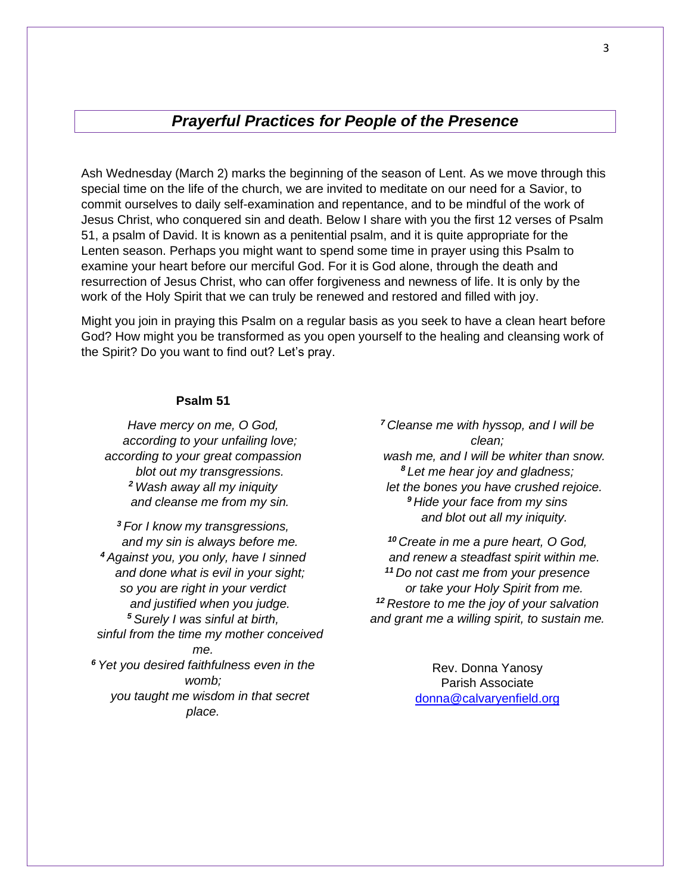### *Prayerful Practices for People of the Presence*

Ash Wednesday (March 2) marks the beginning of the season of Lent. As we move through this special time on the life of the church, we are invited to meditate on our need for a Savior, to commit ourselves to daily self-examination and repentance, and to be mindful of the work of Jesus Christ, who conquered sin and death. Below I share with you the first 12 verses of Psalm 51, a psalm of David. It is known as a penitential psalm, and it is quite appropriate for the Lenten season. Perhaps you might want to spend some time in prayer using this Psalm to examine your heart before our merciful God. For it is God alone, through the death and resurrection of Jesus Christ, who can offer forgiveness and newness of life. It is only by the work of the Holy Spirit that we can truly be renewed and restored and filled with joy.

Might you join in praying this Psalm on a regular basis as you seek to have a clean heart before God? How might you be transformed as you open yourself to the healing and cleansing work of the Spirit? Do you want to find out? Let's pray.

#### **Psalm 51**

*Have mercy on me, O God, according to your unfailing love; according to your great compassion blot out my transgressions. <sup>2</sup> Wash away all my iniquity and cleanse me from my sin.*

*<sup>3</sup> For I know my transgressions, and my sin is always before me. <sup>4</sup> Against you, you only, have I sinned and done what is evil in your sight; so you are right in your verdict and justified when you judge. <sup>5</sup> Surely I was sinful at birth, sinful from the time my mother conceived me. <sup>6</sup> Yet you desired faithfulness even in the womb; you taught me wisdom in that secret place.*

*<sup>7</sup> Cleanse me with hyssop, and I will be clean; wash me, and I will be whiter than snow. <sup>8</sup> Let me hear joy and gladness; let the bones you have crushed rejoice. <sup>9</sup> Hide your face from my sins and blot out all my iniquity.*

*<sup>10</sup> Create in me a pure heart, O God, and renew a steadfast spirit within me. <sup>11</sup> Do not cast me from your presence or take your Holy Spirit from me. <sup>12</sup> Restore to me the joy of your salvation and grant me a willing spirit, to sustain me.*

> Rev. Donna Yanosy Parish Associate [donna@calvaryenfield.org](mailto:donna@calvaryenfield.org)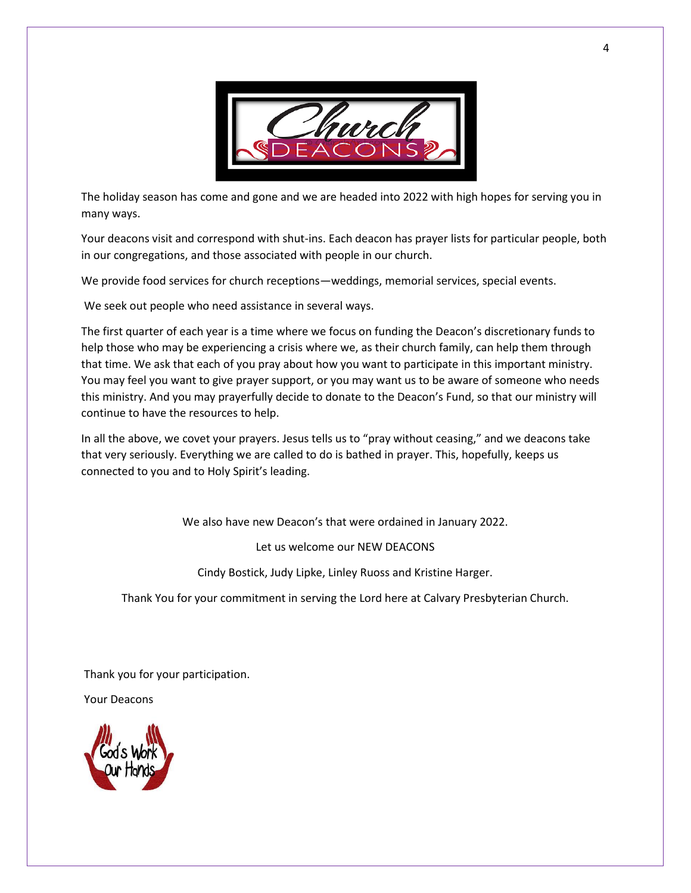

The holiday season has come and gone and we are headed into 2022 with high hopes for serving you in many ways.

Your deacons visit and correspond with shut-ins. Each deacon has prayer lists for particular people, both in our congregations, and those associated with people in our church.

We provide food services for church receptions—weddings, memorial services, special events.

We seek out people who need assistance in several ways.

The first quarter of each year is a time where we focus on funding the Deacon's discretionary funds to help those who may be experiencing a crisis where we, as their church family, can help them through that time. We ask that each of you pray about how you want to participate in this important ministry. You may feel you want to give prayer support, or you may want us to be aware of someone who needs this ministry. And you may prayerfully decide to donate to the Deacon's Fund, so that our ministry will continue to have the resources to help.

In all the above, we covet your prayers. Jesus tells us to "pray without ceasing," and we deacons take that very seriously. Everything we are called to do is bathed in prayer. This, hopefully, keeps us connected to you and to Holy Spirit's leading.

We also have new Deacon's that were ordained in January 2022.

Let us welcome our NEW DEACONS

Cindy Bostick, Judy Lipke, Linley Ruoss and Kristine Harger.

Thank You for your commitment in serving the Lord here at Calvary Presbyterian Church.

Thank you for your participation.

Your Deacons

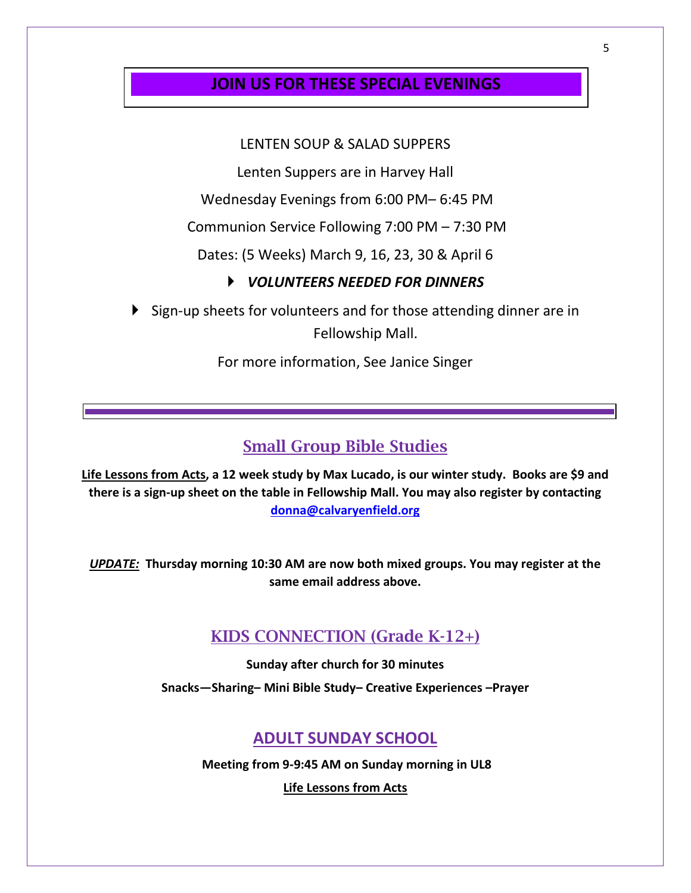### **JOIN US FOR THESE SPECIAL EVENINGS**

### LENTEN SOUP & SALAD SUPPERS

Lenten Suppers are in Harvey Hall

Wednesday Evenings from 6:00 PM– 6:45 PM

Communion Service Following 7:00 PM – 7:30 PM

Dates: (5 Weeks) March 9, 16, 23, 30 & April 6

#### *VOLUNTEERS NEEDED FOR DINNERS*

Sign-up sheets for volunteers and for those attending dinner are in Fellowship Mall.

For more information, See Janice Singer

# Small Group Bible Studies

**Life Lessons from Acts, a 12 week study by Max Lucado, is our winter study. Books are \$9 and there is a sign-up sheet on the table in Fellowship Mall. You may also register by contacting [donna@calvaryenfield.org](mailto:donna@calvaryenfield.org)**

*UPDATE:* **Thursday morning 10:30 AM are now both mixed groups. You may register at the same email address above.** 

# KIDS CONNECTION (Grade K-12+)

**Sunday after church for 30 minutes Snacks—Sharing– Mini Bible Study– Creative Experiences –Prayer**

### **ADULT SUNDAY SCHOOL**

**Meeting from 9-9:45 AM on Sunday morning in UL8**

**Life Lessons from Acts**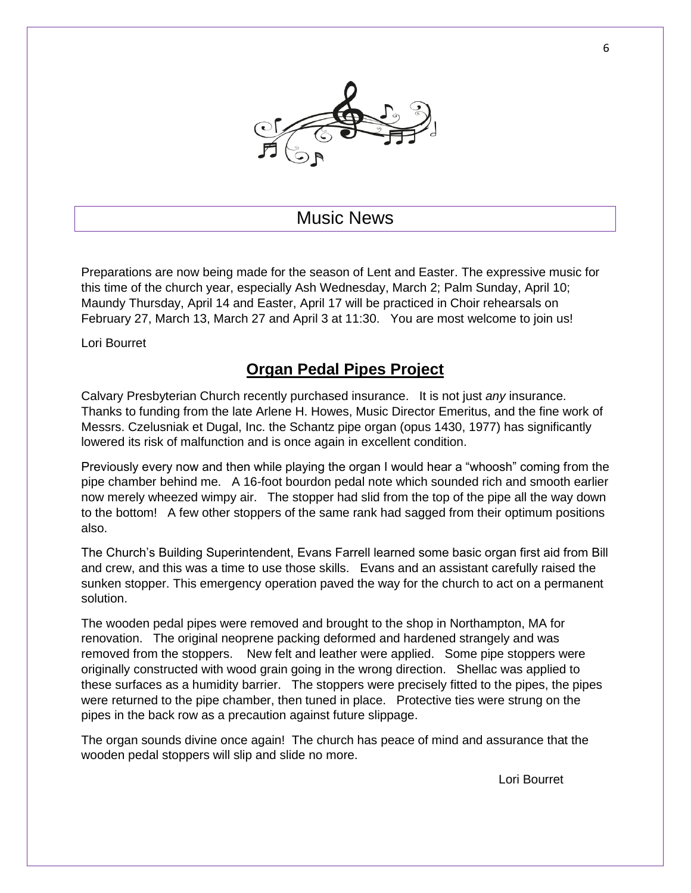

# Music News

Preparations are now being made for the season of Lent and Easter. The expressive music for this time of the church year, especially Ash Wednesday, March 2; Palm Sunday, April 10; Maundy Thursday, April 14 and Easter, April 17 will be practiced in Choir rehearsals on February 27, March 13, March 27 and April 3 at 11:30. You are most welcome to join us!

Lori Bourret

# **Organ Pedal Pipes Project**

Calvary Presbyterian Church recently purchased insurance. It is not just *any* insurance. Thanks to funding from the late Arlene H. Howes, Music Director Emeritus, and the fine work of Messrs. Czelusniak et Dugal, Inc. the Schantz pipe organ (opus 1430, 1977) has significantly lowered its risk of malfunction and is once again in excellent condition.

Previously every now and then while playing the organ I would hear a "whoosh" coming from the pipe chamber behind me. A 16-foot bourdon pedal note which sounded rich and smooth earlier now merely wheezed wimpy air. The stopper had slid from the top of the pipe all the way down to the bottom! A few other stoppers of the same rank had sagged from their optimum positions also.

The Church's Building Superintendent, Evans Farrell learned some basic organ first aid from Bill and crew, and this was a time to use those skills. Evans and an assistant carefully raised the sunken stopper. This emergency operation paved the way for the church to act on a permanent solution.

The wooden pedal pipes were removed and brought to the shop in Northampton, MA for renovation. The original neoprene packing deformed and hardened strangely and was removed from the stoppers. New felt and leather were applied. Some pipe stoppers were originally constructed with wood grain going in the wrong direction. Shellac was applied to these surfaces as a humidity barrier. The stoppers were precisely fitted to the pipes, the pipes were returned to the pipe chamber, then tuned in place. Protective ties were strung on the pipes in the back row as a precaution against future slippage.

The organ sounds divine once again! The church has peace of mind and assurance that the wooden pedal stoppers will slip and slide no more.

Lori Bourret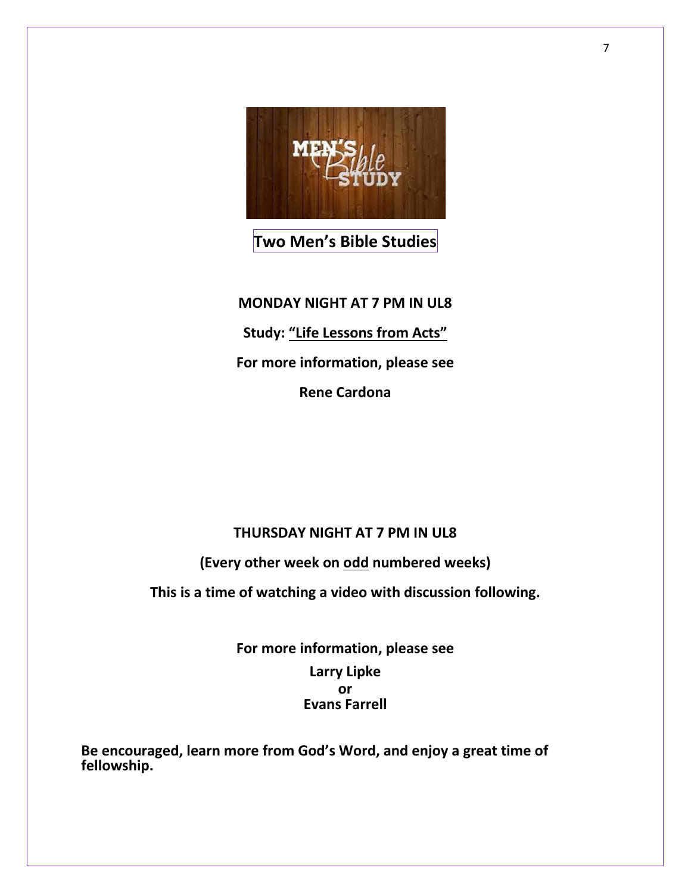

# **Two Men's Bible Studies**

**MONDAY NIGHT AT 7 PM IN UL8 Study: "Life Lessons from Acts" For more information, please see Rene Cardona**

### **THURSDAY NIGHT AT 7 PM IN UL8**

**(Every other week on odd numbered weeks)**

**This is a time of watching a video with discussion following.**

**For more information, please see Larry Lipke or Evans Farrell**

**Be encouraged, learn more from God's Word, and enjoy a great time of fellowship.**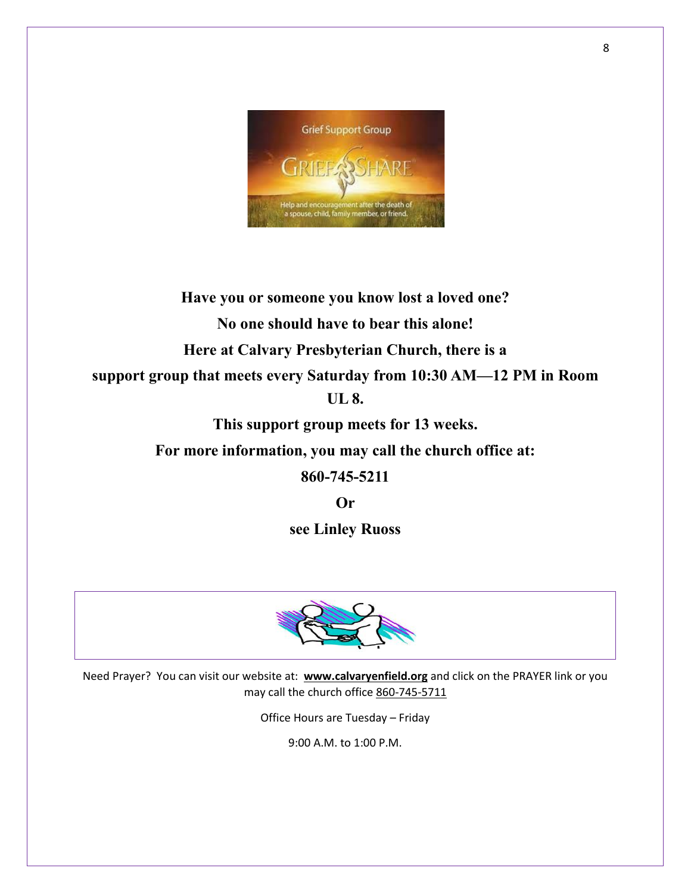

**Have you or someone you know lost a loved one? No one should have to bear this alone! Here at Calvary Presbyterian Church, there is a support group that meets every Saturday from 10:30 AM—12 PM in Room UL 8.**

**This support group meets for 13 weeks.**

**For more information, you may call the church office at:**

**860-745-5211**

**Or** 

**see Linley Ruoss**



Need Prayer? You can visit our website at: **www.calvaryenfield.org** and click on the PRAYER link or you may call the church office 860-745-5711

Office Hours are Tuesday – Friday

9:00 A.M. to 1:00 P.M.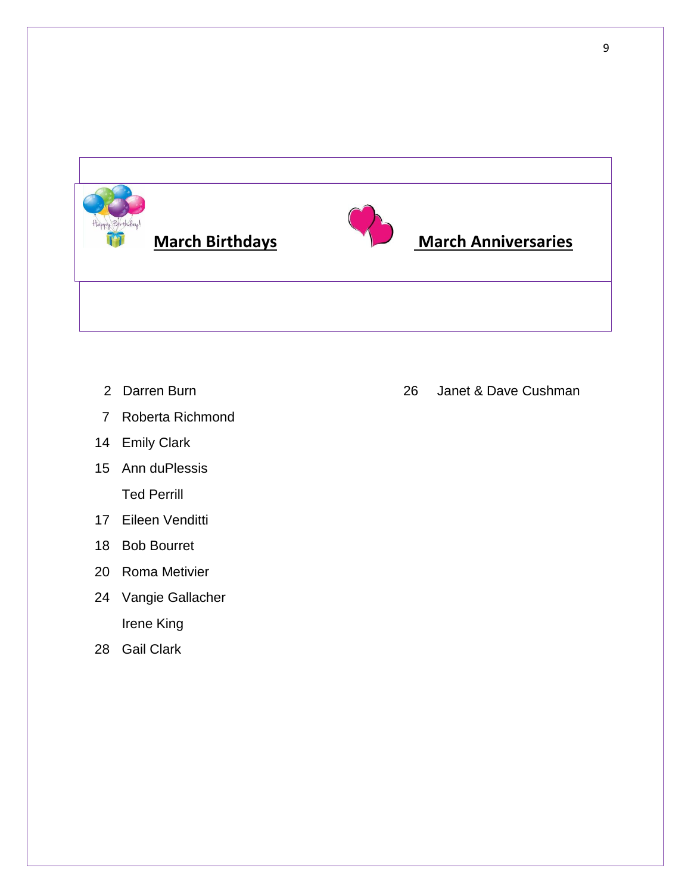

- 
- Roberta Richmond
- Emily Clark
- Ann duPlessis Ted Perrill
- Eileen Venditti
- Bob Bourret
- Roma Metivier
- Vangie Gallacher Irene King
- Gail Clark

2 Darren Burn 26 Janet & Dave Cushman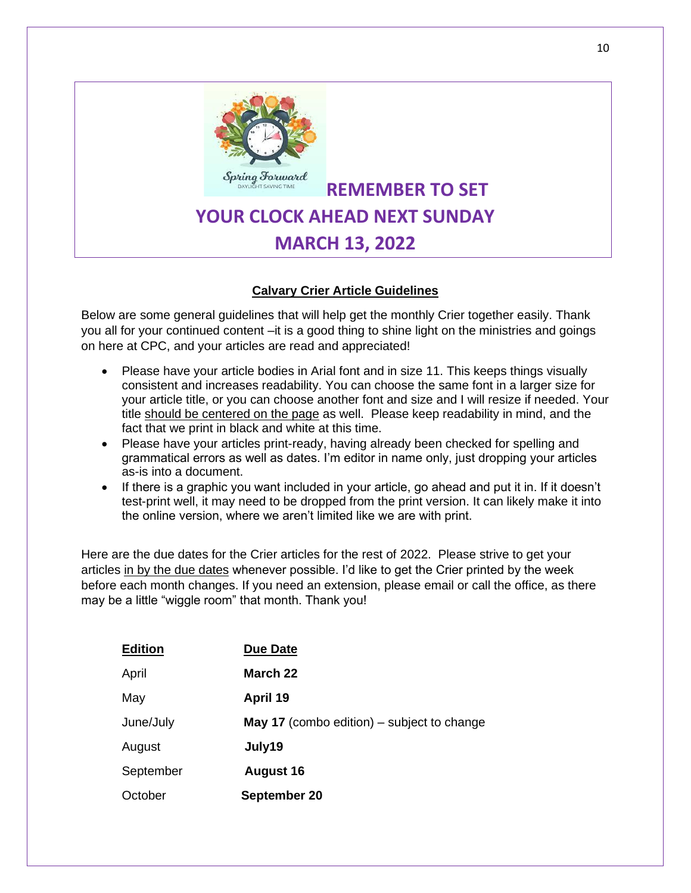

**REMEMBER TO SET YOUR CLOCK AHEAD NEXT SUNDAY MARCH 13, 2022**

#### **Calvary Crier Article Guidelines**

Below are some general guidelines that will help get the monthly Crier together easily. Thank you all for your continued content –it is a good thing to shine light on the ministries and goings on here at CPC, and your articles are read and appreciated!

- Please have your article bodies in Arial font and in size 11. This keeps things visually consistent and increases readability. You can choose the same font in a larger size for your article title, or you can choose another font and size and I will resize if needed. Your title should be centered on the page as well. Please keep readability in mind, and the fact that we print in black and white at this time.
- Please have your articles print-ready, having already been checked for spelling and grammatical errors as well as dates. I'm editor in name only, just dropping your articles as-is into a document.
- If there is a graphic you want included in your article, go ahead and put it in. If it doesn't test-print well, it may need to be dropped from the print version. It can likely make it into the online version, where we aren't limited like we are with print.

Here are the due dates for the Crier articles for the rest of 2022. Please strive to get your articles in by the due dates whenever possible. I'd like to get the Crier printed by the week before each month changes. If you need an extension, please email or call the office, as there may be a little "wiggle room" that month. Thank you!

| <b>Edition</b> | <b>Due Date</b>                                   |
|----------------|---------------------------------------------------|
| April          | March 22                                          |
| May            | April 19                                          |
| June/July      | <b>May 17</b> (combo edition) – subject to change |
| August         | July19                                            |
| September      | <b>August 16</b>                                  |
| October        | September 20                                      |